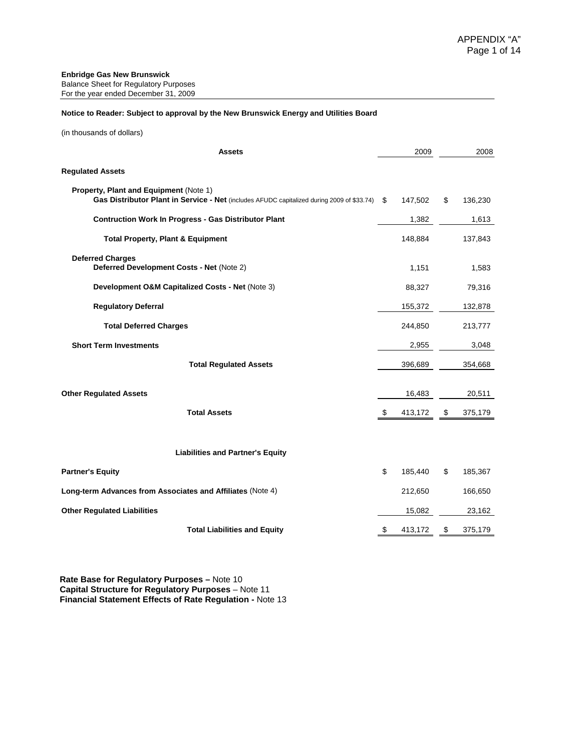#### **Notice to Reader: Subject to approval by the New Brunswick Energy and Utilities Board**

(in thousands of dollars)

| <b>Assets</b>                                                                                                                        |    | 2009    | 2008          |
|--------------------------------------------------------------------------------------------------------------------------------------|----|---------|---------------|
| <b>Regulated Assets</b>                                                                                                              |    |         |               |
| Property, Plant and Equipment (Note 1)<br>Gas Distributor Plant in Service - Net (includes AFUDC capitalized during 2009 of \$33.74) | S  | 147,502 | \$<br>136,230 |
| <b>Contruction Work In Progress - Gas Distributor Plant</b>                                                                          |    | 1,382   | 1,613         |
| <b>Total Property, Plant &amp; Equipment</b>                                                                                         |    | 148,884 | 137,843       |
| <b>Deferred Charges</b><br>Deferred Development Costs - Net (Note 2)                                                                 |    | 1,151   | 1,583         |
| Development O&M Capitalized Costs - Net (Note 3)                                                                                     |    | 88,327  | 79,316        |
| <b>Regulatory Deferral</b>                                                                                                           |    | 155,372 | 132,878       |
| <b>Total Deferred Charges</b>                                                                                                        |    | 244,850 | 213,777       |
| <b>Short Term Investments</b>                                                                                                        |    | 2,955   | 3,048         |
| <b>Total Regulated Assets</b>                                                                                                        |    | 396,689 | 354,668       |
| <b>Other Regulated Assets</b>                                                                                                        |    | 16,483  | 20,511        |
| <b>Total Assets</b>                                                                                                                  | \$ | 413,172 | \$<br>375,179 |
| <b>Liabilities and Partner's Equity</b>                                                                                              |    |         |               |
| <b>Partner's Equity</b>                                                                                                              | \$ | 185,440 | \$<br>185,367 |
| Long-term Advances from Associates and Affiliates (Note 4)                                                                           |    | 212,650 | 166,650       |
| <b>Other Regulated Liabilities</b>                                                                                                   |    | 15,082  | 23,162        |
| <b>Total Liabilities and Equity</b>                                                                                                  | \$ | 413,172 | \$<br>375,179 |

**Rate Base for Regulatory Purposes –** Note 10 **Capital Structure for Regulatory Purposes** – Note 11 **Financial Statement Effects of Rate Regulation -** Note 13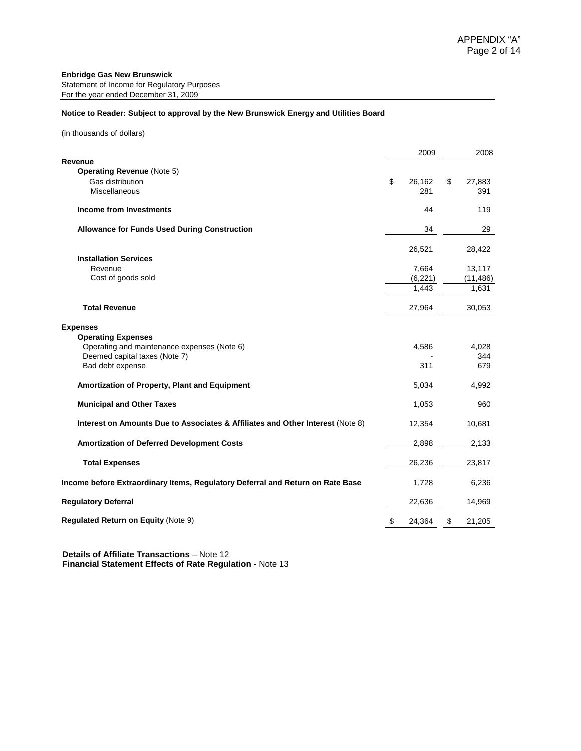#### **Notice to Reader: Subject to approval by the New Brunswick Energy and Utilities Board**

(in thousands of dollars)

|                                                                                                           | 2009                | 2008                |
|-----------------------------------------------------------------------------------------------------------|---------------------|---------------------|
| Revenue<br><b>Operating Revenue (Note 5)</b><br>Gas distribution<br><b>Miscellaneous</b>                  | \$<br>26,162<br>281 | \$<br>27,883<br>391 |
| <b>Income from Investments</b>                                                                            | 44                  | 119                 |
| <b>Allowance for Funds Used During Construction</b>                                                       | 34                  | 29                  |
| <b>Installation Services</b>                                                                              | 26,521              | 28,422              |
| Revenue                                                                                                   | 7,664               | 13,117              |
| Cost of goods sold                                                                                        | (6, 221)            | (11, 486)           |
|                                                                                                           | 1,443               | 1,631               |
| <b>Total Revenue</b>                                                                                      | 27,964              | 30,053              |
| <b>Expenses</b>                                                                                           |                     |                     |
| <b>Operating Expenses</b><br>Operating and maintenance expenses (Note 6)<br>Deemed capital taxes (Note 7) | 4,586               | 4,028<br>344        |
| Bad debt expense                                                                                          | 311                 | 679                 |
| Amortization of Property, Plant and Equipment                                                             | 5,034               | 4,992               |
| <b>Municipal and Other Taxes</b>                                                                          | 1,053               | 960                 |
| Interest on Amounts Due to Associates & Affiliates and Other Interest (Note 8)                            | 12,354              | 10,681              |
| <b>Amortization of Deferred Development Costs</b>                                                         | 2,898               | 2,133               |
| <b>Total Expenses</b>                                                                                     | 26,236              | 23,817              |
| Income before Extraordinary Items, Regulatory Deferral and Return on Rate Base                            | 1,728               | 6,236               |
| <b>Regulatory Deferral</b>                                                                                | 22,636              | 14,969              |
| <b>Regulated Return on Equity (Note 9)</b>                                                                | \$<br>24,364        | \$<br>21,205        |

 **Details of Affiliate Transactions** – Note 12  **Financial Statement Effects of Rate Regulation -** Note 13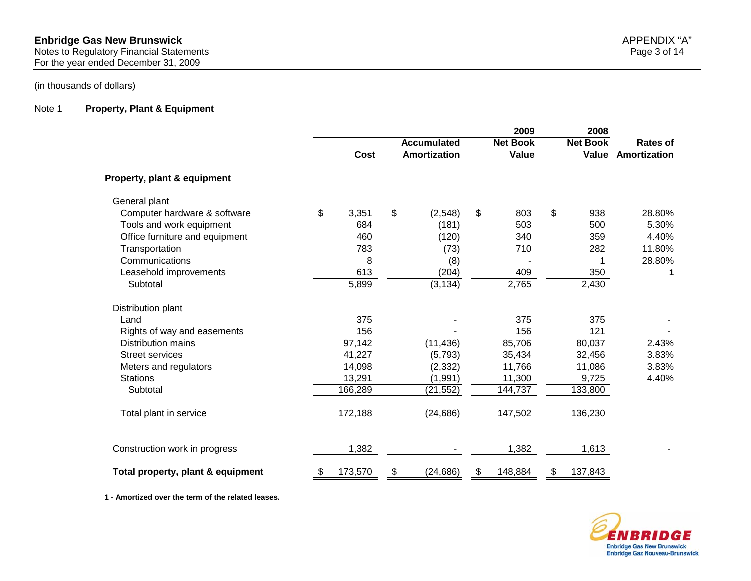For the year ended December 31, 2009

## (in thousands of dollars)

#### Note 1 **Property, Plant & Equipment**

|                                   |               | <b>Accumulated</b> | 2009<br><b>Net Book</b> | 2008<br><b>Net Book</b> | Rates of     |
|-----------------------------------|---------------|--------------------|-------------------------|-------------------------|--------------|
|                                   | <b>Cost</b>   | Amortization       | Value                   | Value                   | Amortization |
| Property, plant & equipment       |               |                    |                         |                         |              |
| General plant                     |               |                    |                         |                         |              |
| Computer hardware & software      | \$<br>3,351   | \$<br>(2,548)      | \$<br>803               | \$<br>938               | 28.80%       |
| Tools and work equipment          | 684           | (181)              | 503                     | 500                     | 5.30%        |
| Office furniture and equipment    | 460           | (120)              | 340                     | 359                     | 4.40%        |
| Transportation                    | 783           | (73)               | 710                     | 282                     | 11.80%       |
| Communications                    | 8             | (8)                |                         |                         | 28.80%       |
| Leasehold improvements            | 613           | (204)              | 409                     | 350                     | 1            |
| Subtotal                          | 5,899         | (3, 134)           | 2,765                   | 2,430                   |              |
| Distribution plant                |               |                    |                         |                         |              |
| Land                              | 375           |                    | 375                     | 375                     |              |
| Rights of way and easements       | 156           |                    | 156                     | 121                     |              |
| <b>Distribution mains</b>         | 97,142        | (11, 436)          | 85,706                  | 80,037                  | 2.43%        |
| <b>Street services</b>            | 41,227        | (5,793)            | 35,434                  | 32,456                  | 3.83%        |
| Meters and regulators             | 14,098        | (2, 332)           | 11,766                  | 11,086                  | 3.83%        |
| <b>Stations</b>                   | 13,291        | (1,991)            | 11,300                  | 9,725                   | 4.40%        |
| Subtotal                          | 166,289       | (21, 552)          | 144,737                 | 133,800                 |              |
| Total plant in service            | 172,188       | (24, 686)          | 147,502                 | 136,230                 |              |
| Construction work in progress     | 1,382         |                    | 1,382                   | 1,613                   |              |
| Total property, plant & equipment | \$<br>173,570 | \$<br>(24, 686)    | \$<br>148,884           | \$<br>137,843           |              |

**1 - Amortized over the term of the related leases.**

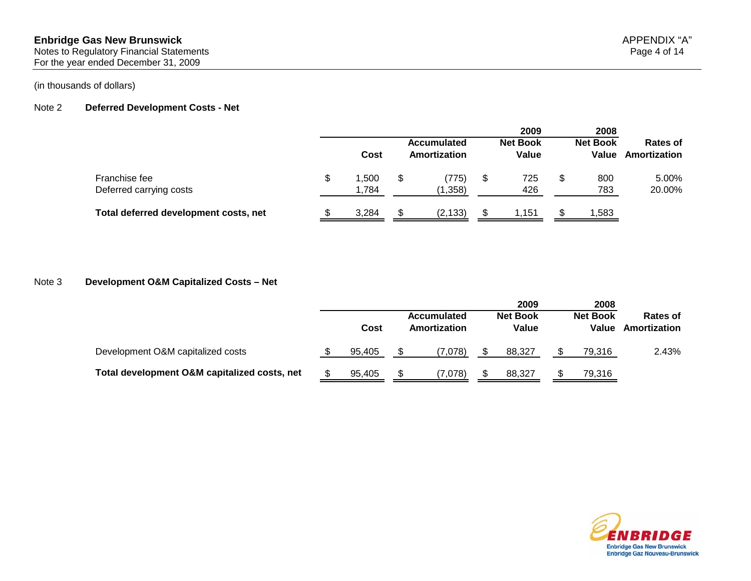#### **Enbridge Gas New Brunswick** APPENDIX "A" Notes to Regulatory Financial Statements Page 4 of 14

For the year ended December 31, 2009

### Note 2 **Deferred Development Costs - Net**

|                                          |   |               |  |                                    |    | 2009                     |   | 2008                     |                          |
|------------------------------------------|---|---------------|--|------------------------------------|----|--------------------------|---|--------------------------|--------------------------|
|                                          |   | Cost          |  | <b>Accumulated</b><br>Amortization |    | <b>Net Book</b><br>Value |   | <b>Net Book</b><br>Value | Rates of<br>Amortization |
| Franchise fee<br>Deferred carrying costs | S | .500<br>1.784 |  | (775)<br>(1,358)                   | \$ | 725<br>426               | S | 800<br>783               | 5.00%<br>20.00%          |
| Total deferred development costs, net    |   | 3,284         |  | (2, 133)                           |    | 1,151                    |   | ,583                     |                          |

### Note 3 **Development O&M Capitalized Costs – Net**

|                                              |        |                                    |         |                                 | 2009   | 2008                     |        |                          |  |
|----------------------------------------------|--------|------------------------------------|---------|---------------------------------|--------|--------------------------|--------|--------------------------|--|
|                                              | Cost   | <b>Accumulated</b><br>Amortization |         | <b>Net Book</b><br><b>Value</b> |        | <b>Net Book</b><br>Value |        | Rates of<br>Amortization |  |
| Development O&M capitalized costs            | 95.405 |                                    | (7.078) |                                 | 88.327 |                          | 79.316 | 2.43%                    |  |
| Total development O&M capitalized costs, net | 95.405 |                                    | (7,078) |                                 | 88.327 |                          | 79,316 |                          |  |

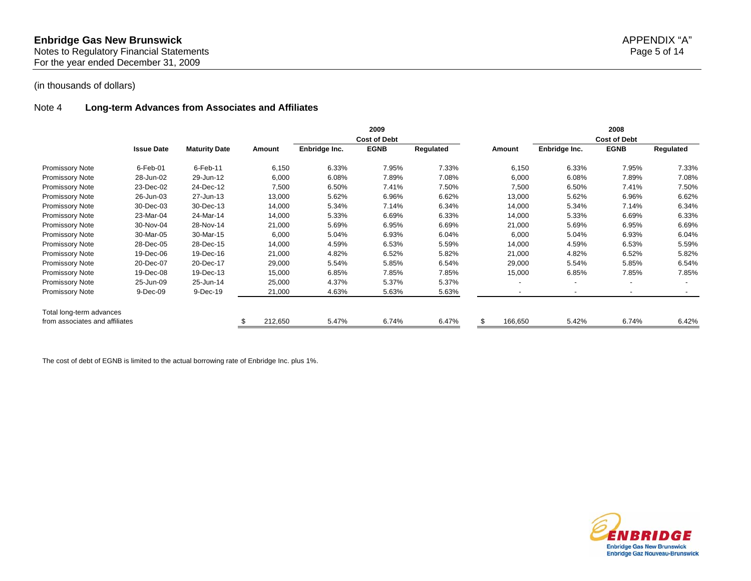#### Note 4 **Long-term Advances from Associates and Affiliates**

|                                |                   |                      |         |               | 2009                |           |         |               | 2008                     |                          |
|--------------------------------|-------------------|----------------------|---------|---------------|---------------------|-----------|---------|---------------|--------------------------|--------------------------|
|                                |                   |                      |         |               | <b>Cost of Debt</b> |           |         |               | <b>Cost of Debt</b>      |                          |
|                                | <b>Issue Date</b> | <b>Maturity Date</b> | Amount  | Enbridge Inc. | <b>EGNB</b>         | Regulated | Amount  | Enbridge Inc. | <b>EGNB</b>              | Regulated                |
| Promissory Note                | $6$ -Feb-01       | 6-Feb-11             | 6,150   | 6.33%         | 7.95%               | 7.33%     | 6,150   | 6.33%         | 7.95%                    | 7.33%                    |
| <b>Promissory Note</b>         | 28-Jun-02         | 29-Jun-12            | 6,000   | 6.08%         | 7.89%               | 7.08%     | 6,000   | 6.08%         | 7.89%                    | 7.08%                    |
| Promissory Note                | 23-Dec-02         | 24-Dec-12            | 7,500   | 6.50%         | 7.41%               | 7.50%     | 7,500   | 6.50%         | 7.41%                    | 7.50%                    |
| <b>Promissory Note</b>         | 26-Jun-03         | 27-Jun-13            | 13,000  | 5.62%         | 6.96%               | 6.62%     | 13,000  | 5.62%         | 6.96%                    | 6.62%                    |
| Promissory Note                | 30-Dec-03         | 30-Dec-13            | 14,000  | 5.34%         | 7.14%               | 6.34%     | 14,000  | 5.34%         | 7.14%                    | 6.34%                    |
| <b>Promissory Note</b>         | 23-Mar-04         | 24-Mar-14            | 14,000  | 5.33%         | 6.69%               | 6.33%     | 14,000  | 5.33%         | 6.69%                    | 6.33%                    |
| <b>Promissory Note</b>         | 30-Nov-04         | 28-Nov-14            | 21,000  | 5.69%         | 6.95%               | 6.69%     | 21,000  | 5.69%         | 6.95%                    | 6.69%                    |
| Promissory Note                | 30-Mar-05         | 30-Mar-15            | 6,000   | 5.04%         | 6.93%               | 6.04%     | 6,000   | 5.04%         | 6.93%                    | 6.04%                    |
| Promissory Note                | 28-Dec-05         | 28-Dec-15            | 14,000  | 4.59%         | 6.53%               | 5.59%     | 14,000  | 4.59%         | 6.53%                    | 5.59%                    |
| <b>Promissory Note</b>         | 19-Dec-06         | 19-Dec-16            | 21,000  | 4.82%         | 6.52%               | 5.82%     | 21,000  | 4.82%         | 6.52%                    | 5.82%                    |
| <b>Promissory Note</b>         | 20-Dec-07         | 20-Dec-17            | 29,000  | 5.54%         | 5.85%               | 6.54%     | 29,000  | 5.54%         | 5.85%                    | 6.54%                    |
| Promissory Note                | 19-Dec-08         | 19-Dec-13            | 15,000  | 6.85%         | 7.85%               | 7.85%     | 15,000  | 6.85%         | 7.85%                    | 7.85%                    |
| Promissory Note                | 25-Jun-09         | 25-Jun-14            | 25,000  | 4.37%         | 5.37%               | 5.37%     | $\sim$  |               | $\overline{\phantom{0}}$ | $\overline{\phantom{a}}$ |
| <b>Promissory Note</b>         | 9-Dec-09          | 9-Dec-19             | 21,000  | 4.63%         | 5.63%               | 5.63%     |         |               |                          |                          |
| Total long-term advances       |                   |                      |         |               |                     |           |         |               |                          |                          |
| from associates and affiliates |                   |                      | 212,650 | 5.47%         | 6.74%               | 6.47%     | 166,650 | 5.42%         | 6.74%                    | 6.42%                    |

The cost of debt of EGNB is limited to the actual borrowing rate of Enbridge Inc. plus 1%.

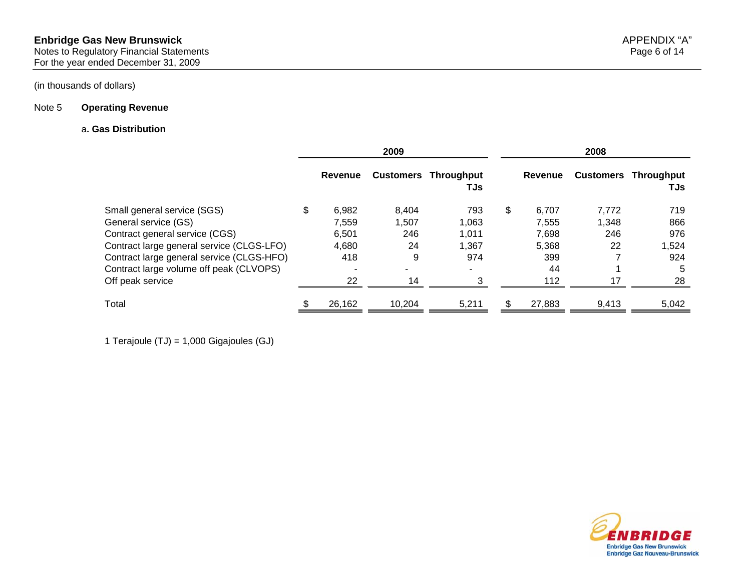#### Note 5 **Operating Revenue**

#### a**. Gas Distribution**

|                                           |             | 2009   |                                    | 2008        |                  |                          |  |
|-------------------------------------------|-------------|--------|------------------------------------|-------------|------------------|--------------------------|--|
|                                           | Revenue     |        | <b>Customers Throughput</b><br>TJs | Revenue     | <b>Customers</b> | <b>Throughput</b><br>TJs |  |
| Small general service (SGS)               | \$<br>6.982 | 8.404  | 793                                | \$<br>6.707 | 7,772            | 719                      |  |
| General service (GS)                      | 7.559       | 1.507  | 1.063                              | 7.555       | 1.348            | 866                      |  |
| Contract general service (CGS)            | 6,501       | 246    | 1,011                              | 7,698       | 246              | 976                      |  |
| Contract large general service (CLGS-LFO) | 4,680       | 24     | 1.367                              | 5,368       | 22               | 1,524                    |  |
| Contract large general service (CLGS-HFO) | 418         | 9      | 974                                | 399         |                  | 924                      |  |
| Contract large volume off peak (CLVOPS)   |             | ۰      | $\blacksquare$                     | 44          |                  | 5                        |  |
| Off peak service                          | 22          | 14     |                                    | 112         | 17               | 28                       |  |
| Total                                     | 26,162      | 10,204 | 5,211                              | 27,883      | 9,413            | 5,042                    |  |

1 Terajoule (TJ) = 1,000 Gigajoules (GJ)

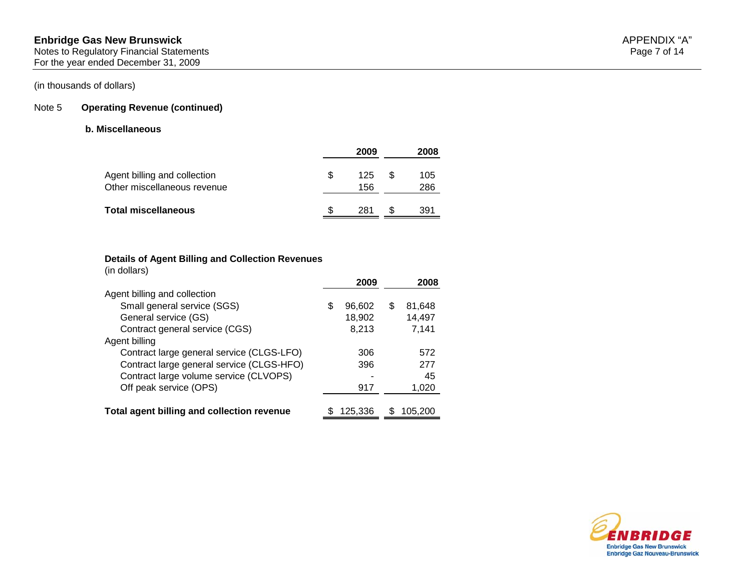# Note 5 **Operating Revenue (continued)**

## **b. Miscellaneous**

|                                                             |     | 2009       | 2008       |
|-------------------------------------------------------------|-----|------------|------------|
| Agent billing and collection<br>Other miscellaneous revenue | \$. | 125<br>156 | 105<br>286 |
| <b>Total miscellaneous</b>                                  | S   | 281        | 391        |

# **Details of Agent Billing and Collection Revenues**

(in dollars)

|                                            |   | 2009    |     | 2008    |
|--------------------------------------------|---|---------|-----|---------|
| Agent billing and collection               |   |         |     |         |
| Small general service (SGS)                | S | 96,602  | \$. | 81,648  |
| General service (GS)                       |   | 18,902  |     | 14,497  |
| Contract general service (CGS)             |   | 8,213   |     | 7,141   |
| Agent billing                              |   |         |     |         |
| Contract large general service (CLGS-LFO)  |   | 306     |     | 572     |
| Contract large general service (CLGS-HFO)  |   | 396     |     | 277     |
| Contract large volume service (CLVOPS)     |   |         |     | 45      |
| Off peak service (OPS)                     |   | 917     |     | 1,020   |
|                                            |   |         |     |         |
| Total agent billing and collection revenue |   | 125,336 |     | 105.200 |

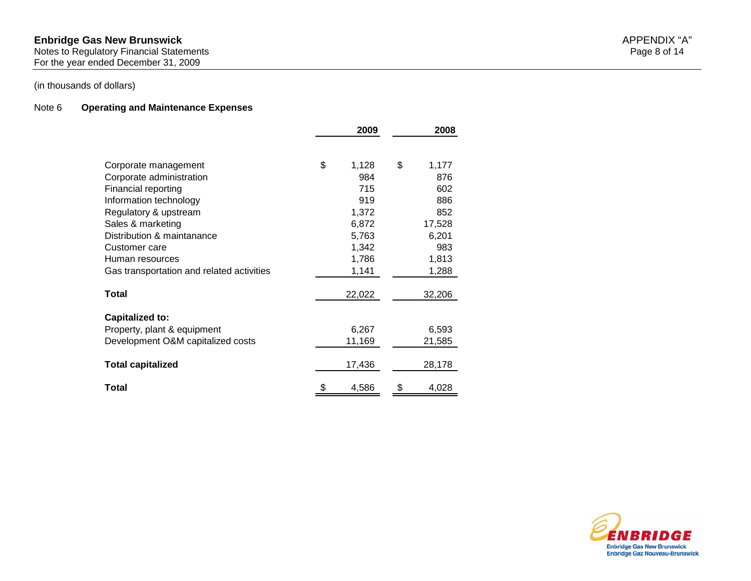#### **Enbridge Gas New Brunswick** APPENDIX "A"

Notes to Regulatory Financial Statements Page 8 of 14 For the year ended December 31, 2009

## Note 6 **Operating and Maintenance Expenses**

|                                           | 2009        | 2008        |
|-------------------------------------------|-------------|-------------|
|                                           |             |             |
| Corporate management                      | \$<br>1,128 | \$<br>1,177 |
| Corporate administration                  | 984         | 876         |
| Financial reporting                       | 715         | 602         |
| Information technology                    | 919         | 886         |
| Regulatory & upstream                     | 1,372       | 852         |
| Sales & marketing                         | 6,872       | 17,528      |
| Distribution & maintanance                | 5,763       | 6,201       |
| Customer care                             | 1,342       | 983         |
| Human resources                           | 1,786       | 1,813       |
| Gas transportation and related activities | 1,141       | 1,288       |
| Total                                     | 22,022      | 32,206      |
| <b>Capitalized to:</b>                    |             |             |
| Property, plant & equipment               | 6,267       | 6,593       |
| Development O&M capitalized costs         | 11,169      | 21,585      |
| <b>Total capitalized</b>                  | 17,436      | 28,178      |
|                                           |             |             |
| Total                                     | \$<br>4,586 | \$<br>4,028 |

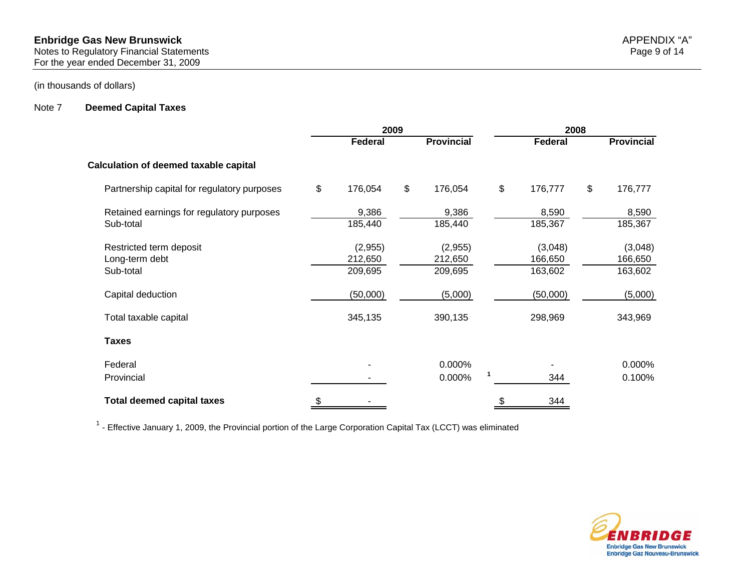#### Note 7 **Deemed Capital Taxes**

|                                              | 2009 |                |    |                   | 2008          |    |                   |  |
|----------------------------------------------|------|----------------|----|-------------------|---------------|----|-------------------|--|
|                                              |      | <b>Federal</b> |    | <b>Provincial</b> | Federal       |    | <b>Provincial</b> |  |
| <b>Calculation of deemed taxable capital</b> |      |                |    |                   |               |    |                   |  |
| Partnership capital for regulatory purposes  | \$   | 176,054        | \$ | 176,054           | \$<br>176,777 | \$ | 176,777           |  |
| Retained earnings for regulatory purposes    |      | 9,386          |    | 9,386             | 8,590         |    | 8,590             |  |
| Sub-total                                    |      | 185,440        |    | 185,440           | 185,367       |    | 185,367           |  |
| Restricted term deposit                      |      | (2,955)        |    | (2,955)           | (3,048)       |    | (3,048)           |  |
| Long-term debt                               |      | 212,650        |    | 212,650           | 166,650       |    | 166,650           |  |
| Sub-total                                    |      | 209,695        |    | 209,695           | 163,602       |    | 163,602           |  |
| Capital deduction                            |      | (50,000)       |    | (5,000)           | (50,000)      |    | (5,000)           |  |
| Total taxable capital                        |      | 345,135        |    | 390,135           | 298,969       |    | 343,969           |  |
| <b>Taxes</b>                                 |      |                |    |                   |               |    |                   |  |
| Federal                                      |      |                |    | 0.000%            |               |    | 0.000%            |  |
| Provincial                                   |      |                |    | 0.000%            | 344           |    | 0.100%            |  |
| <b>Total deemed capital taxes</b>            | \$   |                |    |                   | \$<br>344     |    |                   |  |

 $1$  - Effective January 1, 2009, the Provincial portion of the Large Corporation Capital Tax (LCCT) was eliminated

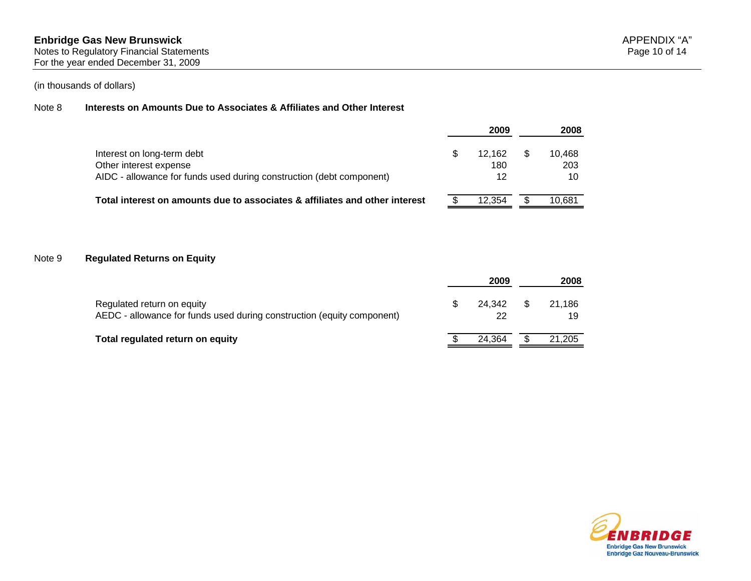#### Note 8 **Interests on Amounts Due to Associates & Affiliates and Other Interest**

|                                                                             | 2009   | 2008   |
|-----------------------------------------------------------------------------|--------|--------|
| Interest on long-term debt                                                  | 12.162 | 10.468 |
| Other interest expense                                                      | 180    | 203    |
| AIDC - allowance for funds used during construction (debt component)        | 12     | 10     |
| Total interest on amounts due to associates & affiliates and other interest | 12.354 | 10.681 |

#### Note 9 **Regulated Returns on Equity**

|                                                                                                      | 2009         | 2008               |
|------------------------------------------------------------------------------------------------------|--------------|--------------------|
| Regulated return on equity<br>AEDC - allowance for funds used during construction (equity component) | 24.342<br>22 | \$<br>21.186<br>19 |
| Total regulated return on equity                                                                     | 24.364       | 21,205             |

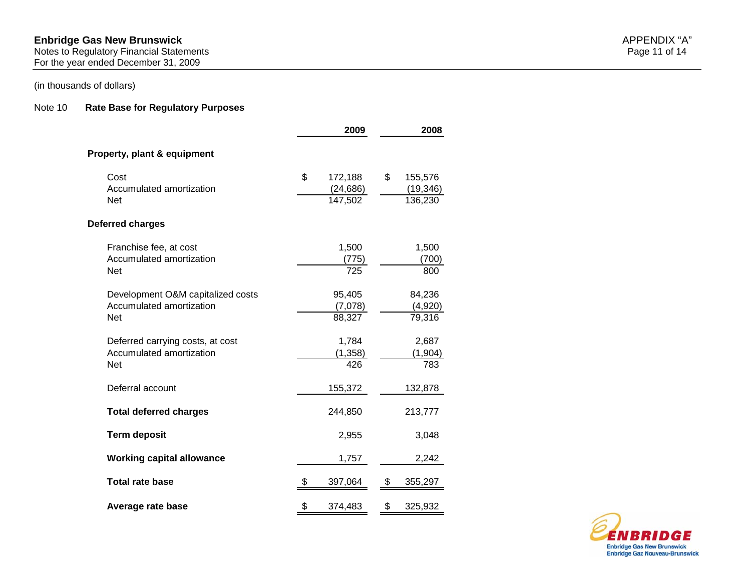#### **Enbridge Gas New Brunswick** APPENDIX "A"

Notes to Regulatory Financial Statements Page 11 of 14 For the year ended December 31, 2009

## (in thousands of dollars)

#### Note 10 **Rate Base for Regulatory Purposes**

|                                                                             | 2009                                  | 2008 |                                 |  |  |
|-----------------------------------------------------------------------------|---------------------------------------|------|---------------------------------|--|--|
| Property, plant & equipment                                                 |                                       |      |                                 |  |  |
| Cost<br>Accumulated amortization<br><b>Net</b>                              | \$<br>172,188<br>(24, 686)<br>147,502 | \$   | 155,576<br>(19, 346)<br>136,230 |  |  |
| Deferred charges                                                            |                                       |      |                                 |  |  |
| Franchise fee, at cost<br>Accumulated amortization<br><b>Net</b>            | 1,500<br>(775)<br>725                 |      | 1,500<br>(700)<br>800           |  |  |
| Development O&M capitalized costs<br>Accumulated amortization<br><b>Net</b> | 95,405<br>(7,078)<br>88,327           |      | 84,236<br>(4,920)<br>79,316     |  |  |
| Deferred carrying costs, at cost<br>Accumulated amortization<br><b>Net</b>  | 1,784<br>(1, 358)<br>426              |      | 2,687<br>(1, 904)<br>783        |  |  |
| Deferral account                                                            | 155,372                               |      | 132,878                         |  |  |
| <b>Total deferred charges</b>                                               | 244,850                               |      | 213,777                         |  |  |
| <b>Term deposit</b>                                                         | 2,955                                 |      | 3,048                           |  |  |
| <b>Working capital allowance</b>                                            | 1,757                                 |      | 2,242                           |  |  |
| <b>Total rate base</b>                                                      | 397,064                               | \$   | 355,297                         |  |  |
| Average rate base                                                           | \$<br>374,483                         | \$   | 325,932                         |  |  |

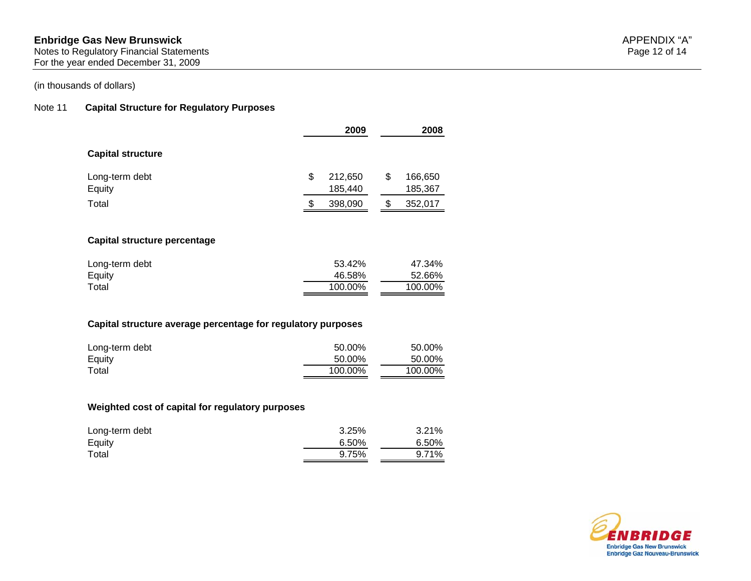#### **Enbridge Gas New Brunswick** APPENDIX "A"

Notes to Regulatory Financial Statements Page 12 of 14 For the year ended December 31, 2009

## (in thousands of dollars)

# Note 11 **Capital Structure for Regulatory Purposes**

|                                                              | 2009          | 2008          |
|--------------------------------------------------------------|---------------|---------------|
| <b>Capital structure</b>                                     |               |               |
| Long-term debt                                               | \$<br>212,650 | \$<br>166,650 |
| Equity                                                       | 185,440       | 185,367       |
| Total                                                        | \$<br>398,090 | \$<br>352,017 |
| Capital structure percentage                                 |               |               |
|                                                              |               |               |
| Long-term debt                                               | 53.42%        | 47.34%        |
| Equity                                                       | 46.58%        | 52.66%        |
| Total                                                        | 100.00%       | 100.00%       |
| Capital structure average percentage for regulatory purposes |               |               |
| Long-term debt                                               | 50.00%        | 50.00%        |
| Equity                                                       | 50.00%        | 50.00%        |
|                                                              | 100.00%       | 100.00%       |

| Long-term debt | 3.25% | 3.21% |
|----------------|-------|-------|
| Equity         | 6.50% | 6.50% |
| Total          | 9.75% | 9.71% |

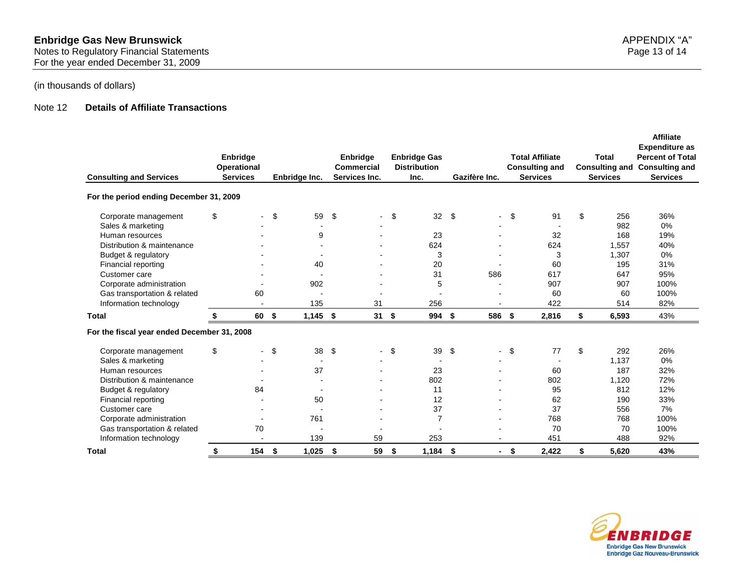#### Note 12 **Details of Affiliate Transactions**

| <b>Consulting and Services</b>              | Enbridge<br><b>Operational</b><br><b>Services</b> |                | Enbridge Inc.            |     | Enbridge<br><b>Commercial</b><br>Services Inc. | <b>Enbridge Gas</b><br><b>Distribution</b><br>Inc. |      | Gazifère Inc.  |      | <b>Total Affiliate</b><br><b>Consulting and</b><br><b>Services</b> | Total<br><b>Consulting and</b><br><b>Services</b> | <b>Affiliate</b><br><b>Expenditure as</b><br><b>Percent of Total</b><br><b>Consulting and</b><br><b>Services</b> |
|---------------------------------------------|---------------------------------------------------|----------------|--------------------------|-----|------------------------------------------------|----------------------------------------------------|------|----------------|------|--------------------------------------------------------------------|---------------------------------------------------|------------------------------------------------------------------------------------------------------------------|
| For the period ending December 31, 2009     |                                                   |                |                          |     |                                                |                                                    |      |                |      |                                                                    |                                                   |                                                                                                                  |
| Corporate management                        | \$                                                |                | \$<br>59                 | \$  |                                                | \$<br>32                                           | \$   | $\blacksquare$ | \$   | 91                                                                 | \$<br>256                                         | 36%                                                                                                              |
| Sales & marketing                           |                                                   |                |                          |     |                                                |                                                    |      |                |      |                                                                    | 982                                               | 0%                                                                                                               |
| Human resources                             |                                                   |                | 9                        |     |                                                | 23                                                 |      |                |      | 32                                                                 | 168                                               | 19%                                                                                                              |
| Distribution & maintenance                  |                                                   |                |                          |     |                                                | 624                                                |      |                |      | 624                                                                | 1,557                                             | 40%                                                                                                              |
| Budget & regulatory                         |                                                   |                |                          |     |                                                | 3                                                  |      |                |      | 3                                                                  | 1,307                                             | $0\%$                                                                                                            |
| Financial reporting                         |                                                   |                | 40                       |     |                                                | 20                                                 |      |                |      | 60                                                                 | 195                                               | 31%                                                                                                              |
| Customer care                               |                                                   |                |                          |     |                                                | 31                                                 |      | 586            |      | 617                                                                | 647                                               | 95%                                                                                                              |
| Corporate administration                    |                                                   |                | 902                      |     |                                                | 5                                                  |      |                |      | 907                                                                | 907                                               | 100%                                                                                                             |
| Gas transportation & related                |                                                   | 60             |                          |     |                                                |                                                    |      |                |      | 60                                                                 | 60                                                | 100%                                                                                                             |
| Information technology                      |                                                   |                | 135                      |     | 31                                             | 256                                                |      |                |      | 422                                                                | 514                                               | 82%                                                                                                              |
| Total                                       |                                                   | 60             | \$<br>1,145              | -\$ | 31S                                            | 994                                                | - \$ | 586            | \$   | 2,816                                                              | \$<br>6,593                                       | 43%                                                                                                              |
| For the fiscal year ended December 31, 2008 |                                                   |                |                          |     |                                                |                                                    |      |                |      |                                                                    |                                                   |                                                                                                                  |
| Corporate management                        | \$                                                | $\blacksquare$ | \$<br>38                 | \$  |                                                | \$<br>39                                           | \$   | $\blacksquare$ | \$   | 77                                                                 | \$<br>292                                         | 26%                                                                                                              |
| Sales & marketing                           |                                                   |                |                          |     |                                                |                                                    |      |                |      |                                                                    | 1,137                                             | 0%                                                                                                               |
| Human resources                             |                                                   |                | 37                       |     |                                                | 23                                                 |      |                |      | 60                                                                 | 187                                               | 32%                                                                                                              |
| Distribution & maintenance                  |                                                   |                |                          |     |                                                | 802                                                |      |                |      | 802                                                                | 1,120                                             | 72%                                                                                                              |
| Budget & regulatory                         |                                                   | 84             | $\overline{\phantom{a}}$ |     |                                                | 11                                                 |      |                |      | 95                                                                 | 812                                               | 12%                                                                                                              |
| Financial reporting                         |                                                   |                | 50                       |     |                                                | 12                                                 |      |                |      | 62                                                                 | 190                                               | 33%                                                                                                              |
| Customer care                               |                                                   |                |                          |     |                                                | 37                                                 |      |                |      | 37                                                                 | 556                                               | 7%                                                                                                               |
| Corporate administration                    |                                                   |                | 761                      |     |                                                | $\overline{7}$                                     |      |                |      | 768                                                                | 768                                               | 100%                                                                                                             |
| Gas transportation & related                |                                                   | 70             |                          |     |                                                |                                                    |      |                |      | 70                                                                 | 70                                                | 100%                                                                                                             |
| Information technology                      |                                                   |                | 139                      |     | 59                                             | 253                                                |      |                |      | 451                                                                | 488                                               | 92%                                                                                                              |
| <b>Total</b>                                | \$                                                | 154            | \$<br>1,025              | \$  | 59                                             | \$<br>$1,184$ \$                                   |      | $\blacksquare$ | - \$ | 2,422                                                              | \$<br>5,620                                       | 43%                                                                                                              |